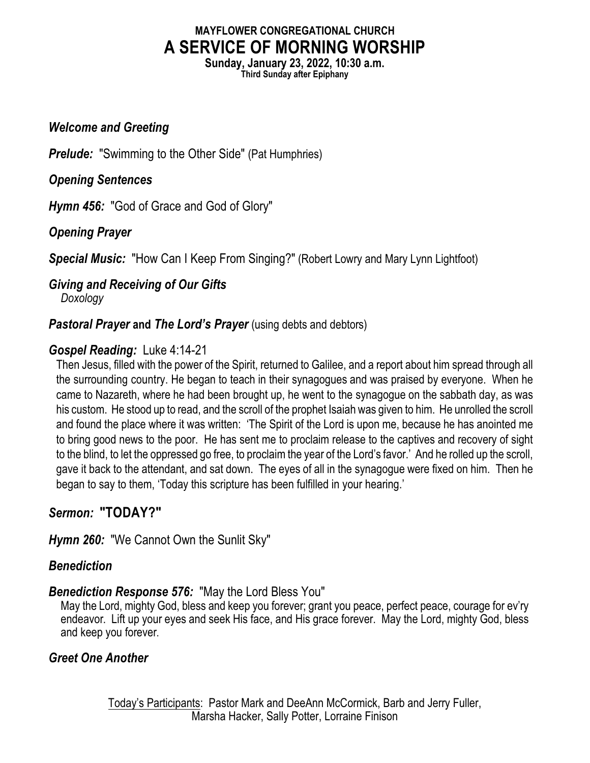# **MAYFLOWER CONGREGATIONAL CHURCH A SERVICE OF MORNING WORSHIP**

**Sunday, January 23, 2022, 10:30 a.m. Third Sunday after Epiphany**

#### *Welcome and Greeting*

*Prelude:* "Swimming to the Other Side" (Pat Humphries)

*Opening Sentences*

*Hymn 456:* "God of Grace and God of Glory"

# *Opening Prayer*

**Special Music:** "How Can I Keep From Singing?" (Robert Lowry and Mary Lynn Lightfoot)

#### *Giving and Receiving of Our Gifts Doxology*

# *Pastoral Prayer and The Lord's Prayer* (using debts and debtors)

### *Gospel Reading:* Luke 4:14-21

Then Jesus, filled with the power of the Spirit, returned to Galilee, and a report about him spread through all the surrounding country. He began to teach in their synagogues and was praised by everyone. When he came to Nazareth, where he had been brought up, he went to the synagogue on the sabbath day, as was his custom. He stood up to read, and the scroll of the prophet Isaiah was given to him. He unrolled the scroll and found the place where it was written: 'The Spirit of the Lord is upon me, because he has anointed me to bring good news to the poor. He has sent me to proclaim release to the captives and recovery of sight to the blind, to let the oppressed go free, to proclaim the year of the Lord's favor.' And he rolled up the scroll, gave it back to the attendant, and sat down. The eyes of all in the synagogue were fixed on him. Then he began to say to them, 'Today this scripture has been fulfilled in your hearing.'

# *Sermon:* **"TODAY?"**

*Hymn 260:* "We Cannot Own the Sunlit Sky"

# *Benediction*

#### *Benediction Response 576:* "May the Lord Bless You"

May the Lord, mighty God, bless and keep you forever; grant you peace, perfect peace, courage for ev'ry endeavor. Lift up your eyes and seek His face, and His grace forever. May the Lord, mighty God, bless and keep you forever.

# *Greet One Another*

Today's Participants: Pastor Mark and DeeAnn McCormick, Barb and Jerry Fuller, Marsha Hacker, Sally Potter, Lorraine Finison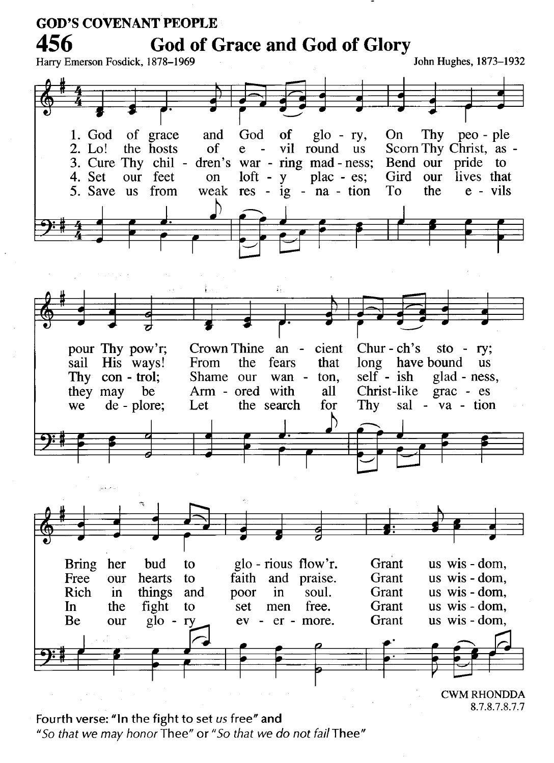

<sup>8.7.8.7.8.7.7</sup> 

Fourth verse: "In the fight to set us free" and "So that we may honor Thee" or "So that we do not fail Thee"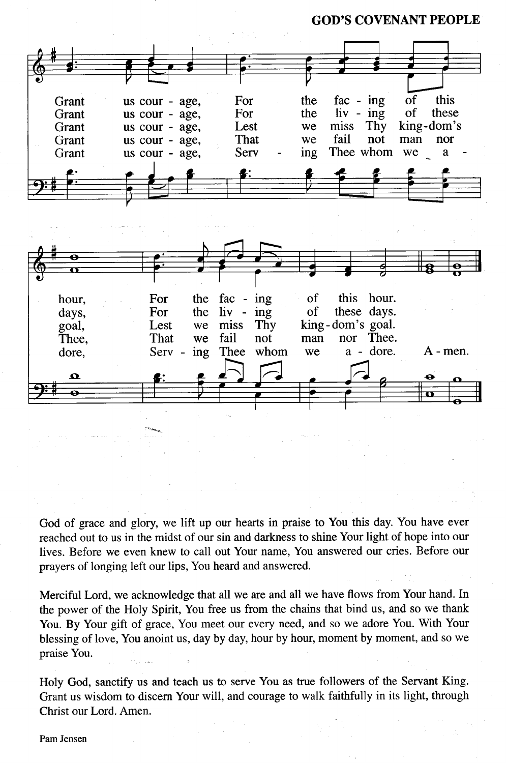**GOD'S COVENANT PEOPLE** 



God of grace and glory, we lift up our hearts in praise to You this day. You have ever reached out to us in the midst of our sin and darkness to shine Your light of hope into our lives. Before we even knew to call out Your name, You answered our cries. Before our prayers of longing left our lips, You heard and answered.

Merciful Lord, we acknowledge that all we are and all we have flows from Your hand. In the power of the Holy Spirit, You free us from the chains that bind us, and so we thank You. By Your gift of grace, You meet our every need, and so we adore You. With Your blessing of love, You anoint us, day by day, hour by hour, moment by moment, and so we praise You.

Holy God, sanctify us and teach us to serve You as true followers of the Servant King. Grant us wisdom to discern Your will, and courage to walk faithfully in its light, through Christ our Lord. Amen.

#### Pam Jensen